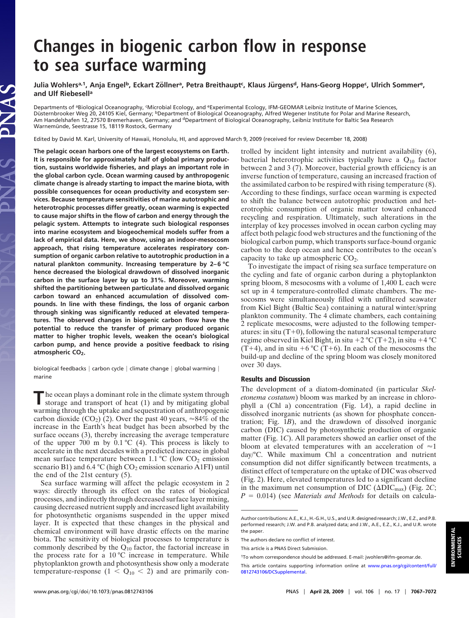## **Changes in biogenic carbon flow in response to sea surface warming**

Julia Wohlers<sup>a,1</sup>, Anja Engel<sup>b</sup>, Eckart Zöllner<sup>a</sup>, Petra Breithaupt<sup>c</sup>, Klaus Jürgens<sup>d</sup>, Hans-Georg Hoppe<sup>c</sup>, Ulrich Sommer<sup>e</sup>, **and Ulf Riebesella**

Departments of <sup>a</sup>Biological Oceanography, 'Microbial Ecology, and <sup>e</sup>Experimental Ecology, IFM-GEOMAR Leibniz Institute of Marine Sciences, Düsternbrooker Weg 20, 24105 Kiel, Germany; <sup>b</sup>Department of Biological Oceanography, Alfred Wegener Institute for Polar and Marine Research, Am Handelshafen 12, 27570 Bremerhaven, Germany; and <sup>d</sup>Department of Biological Oceanography, Leibniz Institute for Baltic Sea Research Warnemünde, Seestrasse 15, 18119 Rostock, Germany

Edited by David M. Karl, University of Hawaii, Honolulu, HI, and approved March 9, 2009 (received for review December 18, 2008)

**The pelagic ocean harbors one of the largest ecosystems on Earth. It is responsible for approximately half of global primary production, sustains worldwide fisheries, and plays an important role in the global carbon cycle. Ocean warming caused by anthropogenic climate change is already starting to impact the marine biota, with possible consequences for ocean productivity and ecosystem services. Because temperature sensitivities of marine autotrophic and heterotrophic processes differ greatly, ocean warming is expected to cause major shifts in the flow of carbon and energy through the pelagic system. Attempts to integrate such biological responses into marine ecosystem and biogeochemical models suffer from a lack of empirical data. Here, we show, using an indoor-mesocosm approach, that rising temperature accelerates respiratory consumption of organic carbon relative to autotrophic production in a natural plankton community. Increasing temperature by 2–6 °C hence decreased the biological drawdown of dissolved inorganic carbon in the surface layer by up to 31%. Moreover, warming shifted the partitioning between particulate and dissolved organic carbon toward an enhanced accumulation of dissolved compounds. In line with these findings, the loss of organic carbon through sinking was significantly reduced at elevated temperatures. The observed changes in biogenic carbon flow have the potential to reduce the transfer of primary produced organic matter to higher trophic levels, weaken the ocean's biological carbon pump, and hence provide a positive feedback to rising** atmospheric CO<sub>2</sub>.

biological feedbacks  $|$  carbon cycle  $|$  climate change  $|$  global warming  $|$ marine

**T**he ocean plays a dominant role in the climate system through storage and transport of heat (1) and by mitigating global warming through the uptake and sequestration of anthropogenic carbon dioxide (CO<sub>2</sub>) (2). Over the past 40 years,  $\approx 84\%$  of the increase in the Earth's heat budget has been absorbed by the surface oceans (3), thereby increasing the average temperature of the upper 700 m by  $0.1 \degree C$  (4). This process is likely to accelerate in the next decades with a predicted increase in global mean surface temperature between 1.1  $^{\circ}$ C (low CO<sub>2</sub> emission scenario B1) and 6.4  $^{\circ}$ C (high CO<sub>2</sub> emission scenario A1FI) until the end of the 21st century (5).

Sea surface warming will affect the pelagic ecosystem in 2 ways: directly through its effect on the rates of biological processes, and indirectly through decreased surface layer mixing, causing decreased nutrient supply and increased light availability for photosynthetic organisms suspended in the upper mixed layer. It is expected that these changes in the physical and chemical environment will have drastic effects on the marine biota. The sensitivity of biological processes to temperature is commonly described by the  $Q_{10}$  factor, the factorial increase in the process rate for a  $10\,^{\circ}\text{C}$  increase in temperature. While phytoplankton growth and photosynthesis show only a moderate temperature-response  $(1 < Q_{10} < 2)$  and are primarily controlled by incident light intensity and nutrient availability (6), bacterial heterotrophic activities typically have a  $Q_{10}$  factor between 2 and 3 (7). Moreover, bacterial growth efficiency is an inverse function of temperature, causing an increased fraction of the assimilated carbon to be respired with rising temperature (8). According to these findings, surface ocean warming is expected to shift the balance between autotrophic production and heterotrophic consumption of organic matter toward enhanced recycling and respiration. Ultimately, such alterations in the interplay of key processes involved in ocean carbon cycling may affect both pelagic food web structures and the functioning of the biological carbon pump, which transports surface-bound organic carbon to the deep ocean and hence contributes to the ocean's capacity to take up atmospheric  $CO<sub>2</sub>$ .

To investigate the impact of rising sea surface temperature on the cycling and fate of organic carbon during a phytoplankton spring bloom, 8 mesocosms with a volume of 1,400 L each were set up in 4 temperature-controlled climate chambers. The mesocosms were simultaneously filled with unfiltered seawater from Kiel Bight (Baltic Sea) containing a natural winter/spring plankton community. The 4 climate chambers, each containing 2 replicate mesocosms, were adjusted to the following temperatures: in situ  $(T+0)$ , following the natural seasonal temperature regime observed in Kiel Bight, in situ +2 °C (T+2), in situ +4 °C (T+4), and in situ +6 °C (T+6). In each of the mesocosms the build-up and decline of the spring bloom was closely monitored over 30 days.

## **Results and Discussion**

The development of a diatom-dominated (in particular *Skeletonema costatum*) bloom was marked by an increase in chlorophyll a (Chl a) concentration (Fig. 1*A*), a rapid decline in dissolved inorganic nutrients (as shown for phosphate concentration; Fig. 1*B*), and the drawdown of dissolved inorganic carbon (DIC) caused by photosynthetic production of organic matter (Fig. 1*C*). All parameters showed an earlier onset of the bloom at elevated temperatures with an acceleration of  $\approx$ 1 day/°C. While maximum Chl a concentration and nutrient consumption did not differ significantly between treatments, a distinct effect of temperature on the uptake of DIC was observed (Fig. 2). Here, elevated temperatures led to a significant decline in the maximum net consumption of DIC  $(\Delta \text{DIC}_{\text{max}})$  (Fig. 2*C*;  $P = 0.014$ ) (see *Materials and Methods* for details on calcula-

Author contributions: A.E., K.J., H.-G.H., U.S., and U.R. designed research; J.W., E.Z., and P.B. performed research; J.W. and P.B. analyzed data; and J.W., A.E., E.Z., K.J., and U.R. wrote the paper.

The authors declare no conflict of interest.

This article is a PNAS Direct Submission.

<sup>1</sup>To whom correspondence should be addressed. E-mail: jwohlers@ifm-geomar.de.

This article contains supporting information online at [www.pnas.org/cgi/content/full/](http://www.pnas.org/cgi/content/full/0812743106/DCSupplemental) [0812743106/DCSupplemental.](http://www.pnas.org/cgi/content/full/0812743106/DCSupplemental)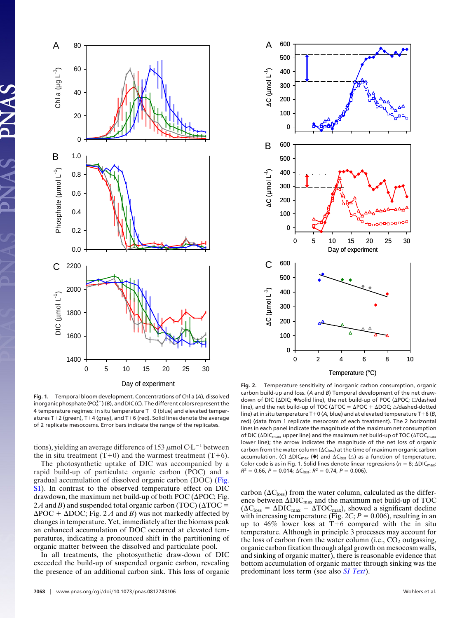



**Fig. 1.** Temporal bloom development. Concentrations of Chl a (*A*), dissolved inorganic phosphate (PO $^{3-}_{4}$ ) (*B*), and DIC (*C*). The different colors represent the 4 temperature regimes: in situ temperature  $T+0$  (blue) and elevated temperatures T+2 (green), T+4 (gray), and T+6 (red). Solid lines denote the average of 2 replicate mesocosms. Error bars indicate the range of the replicates.

tions), yielding an average difference of 153  $\mu$ mol C·L<sup>-1</sup> between the in situ treatment  $(T+0)$  and the warmest treatment  $(T+6)$ .

The photosynthetic uptake of DIC was accompanied by a rapid build-up of particulate organic carbon (POC) and a gradual accumulation of dissolved organic carbon (DOC) [\(Fig.](http://www.pnas.org/cgi/data/0812743106/DCSupplemental/Supplemental_PDF#nameddest=SF1) [S1\)](http://www.pnas.org/cgi/data/0812743106/DCSupplemental/Supplemental_PDF#nameddest=SF1). In contrast to the observed temperature effect on DIC drawdown, the maximum net build-up of both POC ( $\triangle$ POC; Fig. 2A and *B*) and suspended total organic carbon (TOC) ( $\triangle$ TOC = $\Delta$ POC +  $\Delta$ DOC; Fig. 2 *A* and *B*) was not markedly affected by changes in temperature. Yet, immediately after the biomass peak an enhanced accumulation of DOC occurred at elevated temperatures, indicating a pronounced shift in the partitioning of organic matter between the dissolved and particulate pool.

In all treatments, the photosynthetic draw-down of DIC exceeded the build-up of suspended organic carbon, revealing the presence of an additional carbon sink. This loss of organic

**Fig. 2.** Temperature sensitivity of inorganic carbon consumption, organic carbon build-up and loss. (*A* and *B*) Temporal development of the net drawdown of DIC (∆DIC; ♦/solid line), the net build-up of POC ( $\triangle$ POC;  $\Box$ /dashed line), and the net build-up of TOC ( $\Delta TOC = \Delta POC + \Delta DOC$ ;  $\triangle$ /dashed-dotted line) at in situ temperature  $T+0$  (A, blue) and at elevated temperature  $T+6$  (B, red) (data from 1 replicate mesocosm of each treatment). The 2 horizontal lines in each panel indicate the magnitude of the maximum net consumption of DIC ( $\Delta$ DIC<sub>max</sub>, upper line) and the maximum net build-up of TOC ( $\Delta$ TOC<sub>max</sub>, lower line); the arrow indicates the magnitude of the net loss of organic carbon from the water column ( $\Delta C_{\text{loss}}$ ) at the time of maximum organic carbon accumulation. (C)  $\Delta DIC_{max}$  ( $\blacklozenge$ ) and  $\Delta C_{loss}$  ( $\triangle$ ) as a function of temperature. Color code is as in Fig. 1. Solid lines denote linear regressions ( $n = 8$ ;  $\Delta \text{DIC}_{\text{max}}$ :  $R^2 = 0.66$ ,  $P = 0.014$ ;  $\Delta C$ <sub>loss</sub>:  $R^2 = 0.74$ ,  $P = 0.006$ ).

carbon ( $\Delta C_{loss}$ ) from the water column, calculated as the difference between  $\Delta \text{DIC}_{\text{max}}$  and the maximum net build-up of TOC  $(\Delta C_{\text{loss}} = \Delta \text{DIC}_{\text{max}} - \Delta \text{TOC}_{\text{max}})$ , showed a significant decline with increasing temperature (Fig.  $2C$ ;  $P = 0.006$ ), resulting in an up to  $46\%$  lower loss at T+6 compared with the in situ temperature. Although in principle 3 processes may account for the loss of carbon from the water column (i.e.,  $CO<sub>2</sub>$  outgassing, organic carbon fixation through algal growth on mesocosm walls, and sinking of organic matter), there is reasonable evidence that bottom accumulation of organic matter through sinking was the predominant loss term (see also *[SI Text](http://www.pnas.org/cgi/data/0812743106/DCSupplemental/Supplemental_PDF#nameddest=STXT)*).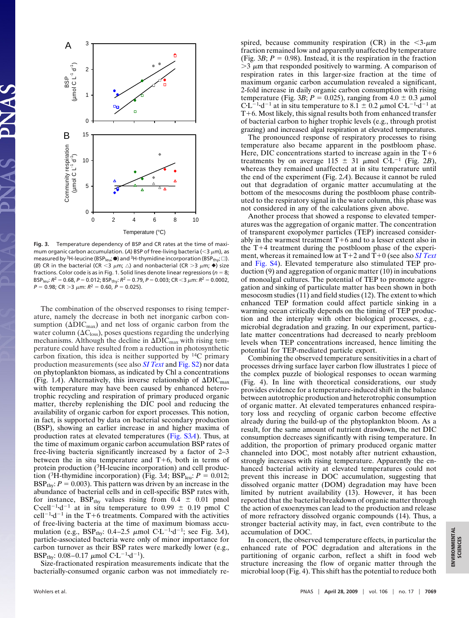

**Fig. 3.** Temperature dependency of BSP and CR rates at the time of maximum organic carbon accumulation. (A) BSP of free-living bacteria (<3  $\mu$ m), as measured by <sup>3</sup>H-leucine (BSP<sub>leu</sub>;  $\bullet$ ) and <sup>3</sup>H-thymidine incorporation (BSP<sub>thy</sub>;  $\Box$ ). (B) CR in the bacterial (CR < 3  $\mu$ m;  $\triangle$ ) and nonbacterial (CR > 3  $\mu$ m;  $\blacklozenge$ ) size fractions. Color code is as in Fig. 1. Solid lines denote linear regressions ( $n = 8$ ; BSP<sub>leu</sub>:  $R^2 = 0.68$ ,  $P = 0.012$ ; BSP<sub>thy</sub>:  $R^2 = 0.79$ ,  $P = 0.003$ ; CR <3  $\mu$ m:  $R^2 = 0.0002$ ,  $P = 0.98$ ; CR > 3  $\mu$ m:  $R^2 = 0.60$ ,  $P = 0.025$ ).

The combination of the observed responses to rising temperature, namely the decrease in both net inorganic carbon consumption  $(\Delta DIC_{max})$  and net loss of organic carbon from the water column  $(\Delta C_{loss})$ , poses questions regarding the underlying mechanisms. Although the decline in  $\Delta\text{DIC}_{\text{max}}$  with rising temperature could have resulted from a reduction in photosynthetic carbon fixation, this idea is neither supported by 14C primary production measurements (see also *[SI Text](http://www.pnas.org/cgi/data/0812743106/DCSupplemental/Supplemental_PDF#nameddest=STXT)* and [Fig. S2\)](http://www.pnas.org/cgi/data/0812743106/DCSupplemental/Supplemental_PDF#nameddest=SF2) nor data on phytoplankton biomass, as indicated by Chl a concentrations (Fig. 1*A*). Alternatively, this inverse relationship of  $\Delta \text{DIC}_{\text{max}}$ with temperature may have been caused by enhanced heterotrophic recycling and respiration of primary produced organic matter, thereby replenishing the DIC pool and reducing the availability of organic carbon for export processes. This notion, in fact, is supported by data on bacterial secondary production (BSP), showing an earlier increase in and higher maxima of production rates at elevated temperatures [\(Fig. S3](http://www.pnas.org/cgi/data/0812743106/DCSupplemental/Supplemental_PDF#nameddest=SF3)*A*). Thus, at the time of maximum organic carbon accumulation BSP rates of free-living bacteria significantly increased by a factor of 2–3 between the in situ temperature and  $T+6$ , both in terms of protein production (3H-leucine incorporation) and cell production (<sup>3</sup>H-thymidine incorporation) (Fig. 3A; BSP<sub>leu</sub>:  $P = 0.012$ ; BSP<sub>thy</sub>:  $P = 0.003$ ). This pattern was driven by an increase in the abundance of bacterial cells and in cell-specific BSP rates with, for instance,  $BSP_{\text{thv}}$  values rising from 0.4  $\pm$  0.01 pmol C·cell<sup>-1</sup>·d<sup>-1</sup> at in situ temperature to 0.99  $\pm$  0.19 pmol C cell<sup>-1</sup> $\cdot$ d<sup>-1</sup> in the T+6 treatments. Compared with the activities of free-living bacteria at the time of maximum biomass accumulation (e.g., BSP<sub>thy</sub>: 0.4–2.5  $\mu$ mol C·L<sup>-1</sup>·d<sup>-1</sup>; see Fig. 3*A*), particle-associated bacteria were only of minor importance for carbon turnover as their BSP rates were markedly lower (e.g., BSP<sub>thy</sub>:  $0.08-0.17 \mu$ mol C·L<sup>-1</sup>·d<sup>-1</sup>).

Size-fractionated respiration measurements indicate that the bacterially-consumed organic carbon was not immediately re-

spired, because community respiration (CR) in the  $\leq 3$ - $\mu$ m fraction remained low and apparently unaffected by temperature (Fig. 3*B*;  $P = 0.98$ ). Instead, it is the respiration in the fraction  $>$ 3  $\mu$ m that responded positively to warming. A comparison of respiration rates in this larger-size fraction at the time of maximum organic carbon accumulation revealed a significant, 2-fold increase in daily organic carbon consumption with rising temperature (Fig. 3*B*;  $P = 0.025$ ), ranging from  $4.0 \pm 0.3 \mu$  mol  $CL^{-1}d^{-1}$  at in situ temperature to 8.1  $\pm$  0.2  $\mu$ mol C·L<sup>-1</sup>·d<sup>-1</sup> at  $T+6$ . Most likely, this signal results both from enhanced transfer of bacterial carbon to higher trophic levels (e.g., through protist grazing) and increased algal respiration at elevated temperatures.

The pronounced response of respiratory processes to rising temperature also became apparent in the postbloom phase. Here, DIC concentrations started to increase again in the  $T+6$ treatments by on average 115  $\pm$  31  $\mu$ mol C·L<sup>-1</sup> (Fig. 2*B*), whereas they remained unaffected at in situ temperature until the end of the experiment (Fig. 2*A*). Because it cannot be ruled out that degradation of organic matter accumulating at the bottom of the mesocosms during the postbloom phase contributed to the respiratory signal in the water column, this phase was not considered in any of the calculations given above.

Another process that showed a response to elevated temperatures was the aggregation of organic matter. The concentration of transparent exopolymer particles (TEP) increased considerably in the warmest treatment  $T+6$  and to a lesser extent also in the  $T+4$  treatment during the postbloom phase of the experiment, whereas it remained low at  $T+2$  and  $T+0$  (see also *[SI Text](http://www.pnas.org/cgi/data/0812743106/DCSupplemental/Supplemental_PDF#nameddest=STXT)* and [Fig. S4\)](http://www.pnas.org/cgi/data/0812743106/DCSupplemental/Supplemental_PDF#nameddest=SF4). Elevated temperature also stimulated TEP production (9) and aggregation of organic matter (10) in incubations of monoalgal cultures. The potential of TEP to promote aggregation and sinking of particulate matter has been shown in both mesocosm studies (11) and field studies (12). The extent to which enhanced TEP formation could affect particle sinking in a warming ocean critically depends on the timing of TEP production and the interplay with other biological processes, e.g., microbial degradation and grazing. In our experiment, particulate matter concentrations had decreased to nearly prebloom levels when TEP concentrations increased, hence limiting the potential for TEP-mediated particle export.

Combining the observed temperature sensitivities in a chart of processes driving surface layer carbon flow illustrates 1 piece of the complex puzzle of biological responses to ocean warming (Fig. 4). In line with theoretical considerations, our study provides evidence for a temperature-induced shift in the balance between autotrophic production and heterotrophic consumption of organic matter. At elevated temperatures enhanced respiratory loss and recycling of organic carbon become effective already during the build-up of the phytoplankton bloom. As a result, for the same amount of nutrient drawdown, the net DIC consumption decreases significantly with rising temperature. In addition, the proportion of primary produced organic matter channeled into DOC, most notably after nutrient exhaustion, strongly increases with rising temperature. Apparently the enhanced bacterial activity at elevated temperatures could not prevent this increase in DOC accumulation, suggesting that dissolved organic matter (DOM) degradation may have been limited by nutrient availability (13). However, it has been reported that the bacterial breakdown of organic matter through the action of exoenzymes can lead to the production and release of more refractory dissolved organic compounds (14). Thus, a stronger bacterial activity may, in fact, even contribute to the accumulation of DOC.

In concert, the observed temperature effects, in particular the enhanced rate of POC degradation and alterations in the partitioning of organic carbon, reflect a shift in food web structure increasing the flow of organic matter through the microbial loop (Fig. 4). This shift has the potential to reduce both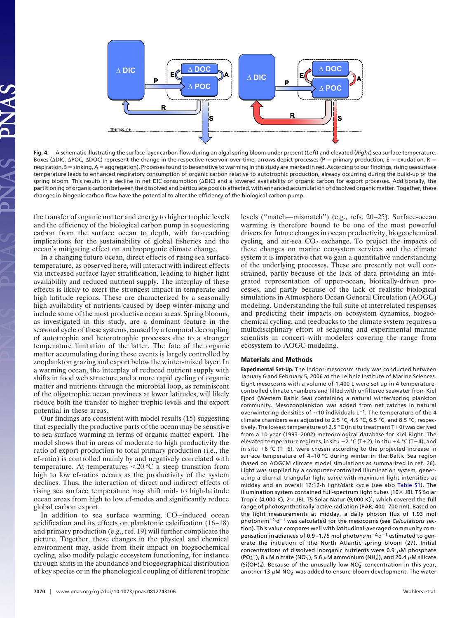

**Fig. 4.** A schematic illustrating the surface layer carbon flow during an algal spring bloom under present (*Left*) and elevated (*Right*) sea surface temperature. Boxes ( $\Delta$ DIC,  $\Delta$ POC,  $\Delta$ DOC) represent the change in the respective reservoir over time, arrows depict processes (P = primary production, E = exudation, R = respiration, S = sinking, A = aggregation). Processes found to be sensitive to warming in this study are marked in red. According to our findings, rising sea surface temperature leads to enhanced respiratory consumption of organic carbon relative to autotrophic production, already occurring during the build-up of the spring bloom. This results in a decline in net DIC consumption (ADIC) and a lowered availability of organic carbon for export processes. Additionally, the partitioning of organic carbon between the dissolved and particulate pools is affected, with enhanced accumulation of dissolved organic matter. Together, these changes in biogenic carbon flow have the potential to alter the efficiency of the biological carbon pump.

the transfer of organic matter and energy to higher trophic levels and the efficiency of the biological carbon pump in sequestering carbon from the surface ocean to depth, with far-reaching implications for the sustainability of global fisheries and the ocean's mitigating effect on anthropogenic climate change.

In a changing future ocean, direct effects of rising sea surface temperature, as observed here, will interact with indirect effects via increased surface layer stratification, leading to higher light availability and reduced nutrient supply. The interplay of these effects is likely to exert the strongest impact in temperate and high latitude regions. These are characterized by a seasonally high availability of nutrients caused by deep winter-mixing and include some of the most productive ocean areas. Spring blooms, as investigated in this study, are a dominant feature in the seasonal cycle of these systems, caused by a temporal decoupling of autotrophic and heterotrophic processes due to a stronger temperature limitation of the latter. The fate of the organic matter accumulating during these events is largely controlled by zooplankton grazing and export below the winter-mixed layer. In a warming ocean, the interplay of reduced nutrient supply with shifts in food web structure and a more rapid cycling of organic matter and nutrients through the microbial loop, as reminiscent of the oligotrophic ocean provinces at lower latitudes, will likely reduce both the transfer to higher trophic levels and the export potential in these areas.

Our findings are consistent with model results (15) suggesting that especially the productive parts of the ocean may be sensitive to sea surface warming in terms of organic matter export. The model shows that in areas of moderate to high productivity the ratio of export production to total primary production (i.e., the ef-ratio) is controlled mainly by and negatively correlated with temperature. At temperatures -20 °C a steep transition from high to low ef-ratios occurs as the productivity of the system declines. Thus, the interaction of direct and indirect effects of rising sea surface temperature may shift mid- to high-latitude ocean areas from high to low ef-modes and significantly reduce global carbon export.

In addition to sea surface warming,  $CO<sub>2</sub>$ -induced ocean acidification and its effects on planktonic calcification (16–18) and primary production (e.g., ref. 19) will further complicate the picture. Together, these changes in the physical and chemical environment may, aside from their impact on biogeochemical cycling, also modify pelagic ecosystem functioning, for instance through shifts in the abundance and biogeographical distribution of key species or in the phenological coupling of different trophic drivers for future changes in ocean productivity, biogeochemical cycling, and air-sea  $CO<sub>2</sub>$  exchange. To project the impacts of these changes on marine ecosystem services and the climate system it is imperative that we gain a quantitative understanding of the underlying processes. These are presently not well constrained, partly because of the lack of data providing an integrated representation of upper-ocean, biotically-driven processes, and partly because of the lack of realistic biological simulations in Atmosphere Ocean General Circulation (AOGC) modeling. Understanding the full suite of interrelated responses and predicting their impacts on ecosystem dynamics, biogeochemical cycling, and feedbacks to the climate system requires a multidisciplinary effort of seagoing and experimental marine scientists in concert with modelers covering the range from ecosystem to AOGC modeling.

levels (''match—mismatch'') (e.g., refs. 20–25). Surface-ocean warming is therefore bound to be one of the most powerful

## **Materials and Methods**

**Experimental Set-Up.** The indoor-mesocosm study was conducted between January 6 and February 5, 2006 at the Leibniz Institute of Marine Sciences. Eight mesocosms with a volume of 1,400 L were set up in 4 temperaturecontrolled climate chambers and filled with unfiltered seawater from Kiel Fjord (Western Baltic Sea) containing a natural winter/spring plankton community. Mesozooplankton was added from net catches in natural overwintering densities of  $\approx$  10 individuals L<sup>-1</sup>. The temperature of the 4 climate chambers was adjusted to 2.5 °C, 4.5 °C, 6.5 °C, and 8.5 °C, respectively. The lowest temperature of 2.5 °C (in situ treatment  $T+0$ ) was derived from a 10-year (1993–2002) meteorological database for Kiel Bight. The elevated temperature regimes, in situ +2 °C (T+2), in situ +4 °C (T+4), and in situ  $+6$  °C (T+6), were chosen according to the projected increase in surface temperature of 4–10 °C during winter in the Baltic Sea region (based on AOGCM climate model simulations as summarized in ref. 26). Light was supplied by a computer-controlled illumination system, generating a diurnal triangular light curve with maximum light intensities at midday and an overall 12:12-h light/dark cycle (see also [Table S1\)](http://www.pnas.org/cgi/data/0812743106/DCSupplemental/Supplemental_PDF#nameddest=ST1). The illumination system contained full-spectrum light tubes  $[10 \times$  JBL T5 Solar Tropic (4,000 K),  $2 \times$  JBL T5 Solar Natur (9,000 K)], which covered the full range of photosynthetically-active radiation (PAR; 400–700 nm). Based on the light measurements at midday, a daily photon flux of 1.93 mol photons-m<sup>-2</sup>-d<sup>-1</sup> was calculated for the mesocosms (see *Calculations* section). This value compares well with latitudinal-averaged community compensation irradiances of 0.9-1.75 mol photons $\cdot$ m<sup>-2</sup>·d<sup>-1</sup> estimated to generate the initiation of the North Atlantic spring bloom (27). Initial concentrations of dissolved inorganic nutrients were 0.9  $\mu$ M phosphate (PO $_4^{3-}$ ), 8  $\mu$ M nitrate (NO<sub>3</sub>), 5.6  $\mu$ M ammonium (NH<sup>+</sup>), and 20.4  $\mu$ M silicate  $(Si(OH)_4)$ . Because of the unusually low  $NO_3^-$  concentration in this year, another 13  $\mu$ M NO<sub>3</sub> was added to ensure bloom development. The water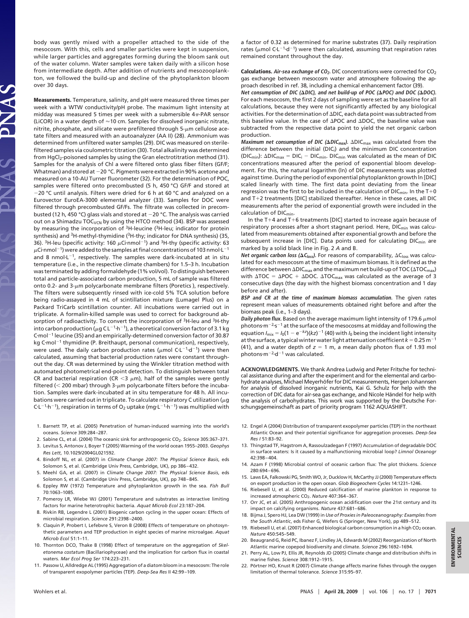body was gently mixed with a propeller attached to the side of the mesocosm. With this, cells and smaller particles were kept in suspension, while larger particles and aggregates forming during the bloom sank out of the water column. Water samples were taken daily with a silicon hose from intermediate depth. After addition of nutrients and mesozooplankton, we followed the build-up and decline of the phytoplankton bloom over 30 days.

**Measurements.** Temperature, salinity, and pH were measured three times per week with a WTW conductivity/pH probe. The maximum light intensity at midday was measured 5 times per week with a submersible  $4\pi$ -PAR sensor (LiCOR) in a water depth of  $\approx$  10 cm. Samples for dissolved inorganic nitrate, nitrite, phosphate, and silicate were prefiltered through  $5-\mu m$  cellulose acetate filters and measured with an autoanalyzer (AA II) (28). Ammonium was determined from unfiltered water samples (29). DIC was measured on sterilefiltered samples via coulometric titration (30). Total alkalinity was determined from HgCl<sub>2</sub>-poisoned samples by using the Gran electrotitration method (31). Samples for the analysis of Chl a were filtered onto glass fiber filters (GF/F; Whatman) and stored at  $-20$  °C. Pigments were extracted in 90% acetone and measured on a 10-AU Turner fluorometer (32). For the determination of POC, samples were filtered onto precombusted (5 h, 450 °C) GF/F and stored at -20 °C until analysis. Filters were dried for 6 h at 60 °C and analyzed on a Eurovector EuroEA-3000 elemental analyzer (33). Samples for DOC were filtered through precombusted GF/Fs. The filtrate was collected in precombusted (12 h, 450 °C) glass vials and stored at  $-20$  °C. The analysis was carried out on a Shimadzu TOC<sub>VCN</sub> by using the HTCO method (34). BSP was assessed by measuring the incorporation of <sup>3</sup>H-leucine (<sup>3</sup>H-leu; indicator for protein synthesis) and 3H-methyl-thymidine (3H-thy; indicator for DNA synthesis) (35, 36). <sup>3</sup>H-leu (specific activity: 160  $\mu$ Ci·nmol<sup>-1</sup>) and <sup>3</sup>H-thy (specific activity: 63  $\mu$ Ci·nmol<sup>-1</sup>) were added to the samples at final concentrations of 103 nmol·L<sup>-1</sup> and 8 nmol $L^{-1}$ , respectively. The samples were dark-incubated at in situ temperature (i.e., in the respective climate chambers) for 1.5–3 h. Incubation was terminated by adding formaldehyde (1% vol/vol). To distinguish between total and particle-associated carbon production, 5 mL of sample was filtered onto 0.2- and 3- $\mu$ m polycarbonate membrane filters (Poretics ), respectively. The filters were subsequently rinsed with ice-cold 5% TCA solution before being radio-assayed in 4 mL of scintillation mixture (Lumagel Plus) on a Packard TriCarb scintillation counter. All incubations were carried out in triplicate. A formalin-killed sample was used to correct for background absorption of radioactivity. To convert the incorporation of <sup>3</sup>H-leu and <sup>3</sup>H-thy into carbon production ( $\mu$ g CL<sup>-1</sup>·h<sup>-1</sup>), a theoretical conversion factor of 3.1 kg  $C$ ·mol<sup>-1</sup> leucine (35) and an empirically-determined conversion factor of 30.87 kg C $\cdot$ mol<sup>-1</sup> thymidine (P. Breithaupt, personal communication), respectively, were used. The daily carbon production rates ( $\mu$ mol C·L<sup>-1</sup>·d<sup>-1</sup>) were then calculated, assuming that bacterial production rates were constant throughout the day. CR was determined by using the Winkler titration method with automated photometrical end-point detection. To distinguish between total CR and bacterial respiration (CR  $<$ 3  $\mu$ m), half of the samples were gently filtered ( $<$  200 mbar) through 3- $\mu$ m polycarbonate filters before the incubation. Samples were dark-incubated at in situ temperature for 48 h. All incubations were carried out in triplicate. To calculate respiratory C utilization ( $\mu$ g C·L<sup>-1</sup>·h<sup>-1</sup>), respiration in terms of O<sub>2</sub> uptake (mg·L<sup>-1</sup>·h<sup>-1</sup>) was multiplied with

- 1. Barnett TP, et al. (2005) Penetration of human-induced warming into the world's oceans. *Science* 309:284–287.
- 2. Sabine CL, et al. (2004) The oceanic sink for anthropogenic CO2. *Science* 305:367–371.
- 3. Levitus S, Antonov J, Boyer T (2005) Warming of the world ocean 1955–2003. *Geophys*
- *Res Lett*, 10.1029/2004GL021592. 4. Bindoff NL, et al. (2007) in *Climate Change 2007: The Physical Science Basis*, eds
- Solomon S, et al. (Cambridge Univ Press, Cambridge, UK), pp 386–432. 5. Meehl GA, et al. (2007) in *Climate Change 2007: The Physical Science Basis*, eds
- Solomon S, et al. (Cambridge Univ Press, Cambridge, UK), pp 748–845. 6. Eppley RW (1972) Temperature and phytoplankton growth in the sea. *Fish Bull* 70:1063–1085.
- 7. Pomeroy LR, Wiebe WJ (2001) Temperature and substrates as interactive limiting factors for marine heterotrophic bacteria. *Aquat Microb Ecol* 23:187–204.
- 8. Rivkin RB, Legendre L (2001) Biogenic carbon cycling in the upper ocean: Effects of microbial respiration. *Science* 291:2398–2400.
- 9. Claquin P, Probert I, Lefebvre S, Veron B (2008) Effects of temperature on photosynthetic parameters and TEP production in eight species of marine microalgae. *Aquat Microb Ecol* 51:1–11.
- 10. Thornton DCO, Thake B (1998) Effect of temperature on the aggregation of *Skeletonema costatum* (Bacillariophyceae) and the implication for carbon flux in coastal waters. *Mar Ecol Prog Ser* 174:223–231.
- 11. Passow U, Alldredge AL (1995) Aggregation of a diatom bloom in a mesocosm: The role of transparent exopolymer particles (TEP). *Deep-Sea Res* II 42:99–109.

a factor of 0.32 as determined for marine substrates (37). Daily respiration rates ( $\mu$ mol C·L<sup>-1</sup>·d<sup>-1</sup>) were then calculated, assuming that respiration rates remained constant throughout the day.

**Calculations. Air-sea exchange of CO2.** DIC concentrations were corrected for CO2 gas exchange between mesocosm water and atmosphere following the approach described in ref. 38, including a chemical enhancement factor (39).

Net consumption of DIC ( $\Delta$ DIC), and net build-up of POC ( $\Delta$ POC) and DOC ( $\Delta$ DOC). For each mesocosm, the first 2 days of sampling were set as the baseline for all calculations, because they were not significantly affected by any biological activities. For the determination of  $\Delta$ DIC, each data point was subtracted from this baseline value. In the case of  $\Delta$ POC and  $\Delta$ DOC, the baseline value was subtracted from the respective data point to yield the net organic carbon production.

**Maximum** net consumption of DIC ( $\Delta$ DIC<sub>max</sub>).  $\Delta$ DIC<sub>max</sub> was calculated from the difference between the initial (DICi) and the minimum DIC concentration (DIC<sub>min</sub>):  $\Delta DIC_{max} = DIC_i - DIC_{min}$ . DIC<sub>min</sub> was calculated as the mean of DIC concentrations measured after the period of exponential bloom development. For this, the natural logarithm (ln) of DIC measurements was plotted against time. During the period of exponential phytoplankton growth ln [DIC] scaled linearly with time. The first data point deviating from the linear regression was the first to be included in the calculation of  $DIC<sub>min</sub>$ . In the T+0 and T+2 treatments [DIC] stabilized thereafter. Hence in these cases, all DIC measurements after the period of exponential growth were included in the calculation of DICmin.

In the T+4 and T+6 treatments [DIC] started to increase again because of respiratory processes after a short stagnant period. Here,  $DIC<sub>min</sub>$  was calculated from measurements obtained after exponential growth and before the subsequent increase in [DIC]. Data points used for calculating DIC<sub>min</sub> are marked by a solid black line in Fig. 2 *A* and B.

**Net organic carbon loss (** $\Delta C_{loss}$ **).** For reasons of comparability,  $\Delta C_{loss}$  was calculated for each mesocosm at the time of maximum biomass. It is defined as the difference between  $\Delta \textsf{DIC}_{\textsf{max}}$  and the maximum net build-up of TOC ( $\Delta \textsf{TOC}_{\textsf{max}}$ ) with  $\Delta \text{TOC} = \Delta \text{POC} + \Delta \text{DOC}$ .  $\Delta \text{TOC}_{\text{max}}$  was calculated as the average of 3 consecutive days (the day with the highest biomass concentration and 1 day before and after).

**BSP and CR at the time of maximum biomass accumulation.** The given rates represent mean values of measurements obtained right before and after the biomass peak (i.e., 1–3 days).

**Daily photon flux.** Based on the average maximum light intensity of 179.6  $\mu$ mol photons $m^{-2}$ -s<sup>-1</sup> at the surface of the mesocosms at midday and following the equation  $I_{\text{mix}} = I_0(1 - e^{-kz})(kz)^{-1}$  (40) with  $I_0$  being the incident light intensity at the surface, a typical winter water light attenuation coefficient  $k = 0.25$  m<sup>-1</sup> (41), and a water depth of  $z = 1$  m, a mean daily photon flux of 1.93 mol photons $\cdot$ m<sup>-2</sup> $\cdot$ d<sup>-1</sup> was calculated.

**ACKNOWLEDGMENTS.** We thank Andrea Ludwig and Peter Fritsche for technical assistance during and after the experiment and for the elemental and carbohydrate analyses, Michael Meyerhöfer for DIC measurements, Hergen Johannsen for analysis of dissolved inorganic nutrients, Kai G. Schulz for help with the correction of DIC data for air-sea gas exchange, and Nicole Händel for help with the analysis of carbohydrates. This work was supported by the Deutsche Forschungsgemeinschaft as part of priority program 1162 AQUASHIFT.

- 12. Engel A (2004) Distribution of transparent exopolymer particles (TEP) in the northeast Atlantic Ocean and their potential significance for aggregation processes. *Deep-Sea Res I* 51:83–92.
- 13. Thingstad TF, Hagstrom A, Rassoulzadegan F (1997) Accumulation of degradable DOC in surface waters: Is it caused by a malfunctioning microbial loop? *Limnol Oceanogr* 42:398–404.
- 14. Azam F (1998) Microbial control of oceanic carbon flux: The plot thickens. *Science* 280:694–696.
- 15. Laws EA, Falkowski PG, Smith WO, Jr, Ducklow H, McCarthy JJ (2000) Temperature effects on export production in the open ocean. *Glob Biogeochem Cycles* 14:1231–1246.
- 16. Riebesell U, et al. (2000) Reduced calcification of marine plankton in response to increased atmospheric CO2. *Nature* 407:364–367.
- 17. Orr JC, et al. (2005) Anthropogenic ocean acidification over the 21st century and its impact on calcifying organisms. *Nature* 437:681–686.
- 18. Bijma J, Spero HJ, Lea DW (1999) in *Use of Proxies in Paleoceanography: Examples from the South Atlantic*, eds Fisher G, Wefers G (Springer, New York), pp 489–512.
- 19. Riebesell U, et al. (2007) Enhanced biological carbon consumption in a high CO<sub>2</sub> ocean. *Nature* 450:545–549.
- 20. Beaugrand G, Reid PC, Ibanez F, Lindley JA, Edwards M (2002) Reorganization of North Atlantic marine copepod biodiversity and climate. *Science* 296:1692–1694.
- 21. Perry AL, Low PJ, Ellis JR, Reynolds JD (2005) Climate change and distribution shifts in marine fishes. *Science* 308:1912–1915.
- 22. Pörtner HO, Knust R (2007) Climate change affects marine fishes through the oxygen limitation of thermal tolerance. *Science* 315:95–97.